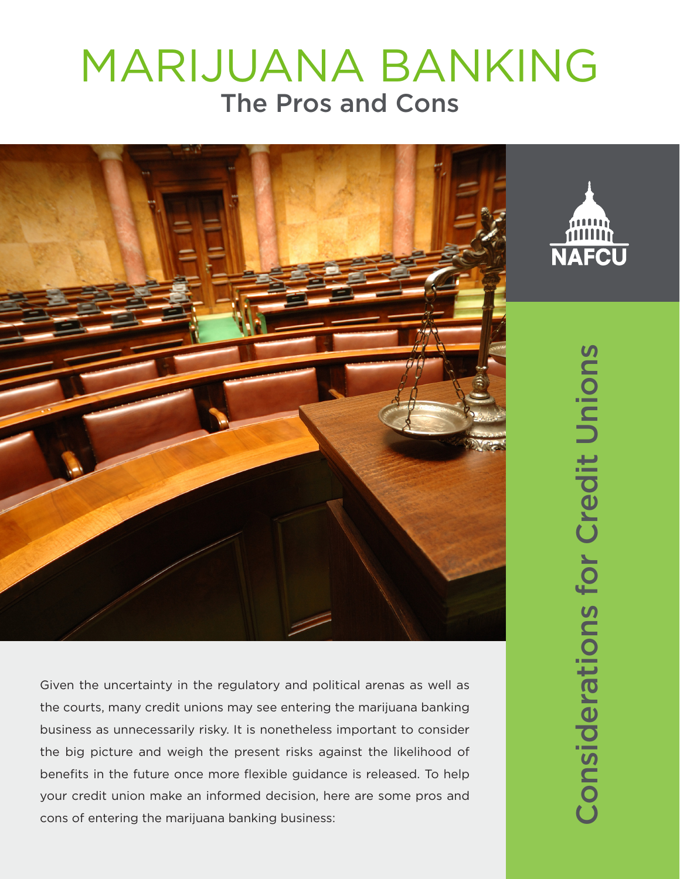## MARIJUANA BANKING The Pros and Cons



Given the uncertainty in the regulatory and political arenas as well as the courts, many credit unions may see entering the marijuana banking business as unnecessarily risky. It is nonetheless important to consider the big picture and weigh the present risks against the likelihood of benefits in the future once more flexible guidance is released. To help your credit union make an informed decision, here are some pros and cons of entering the marijuana banking business:

Considerations for Credit Unions Considerations for Credit Unions

**NAFCU**